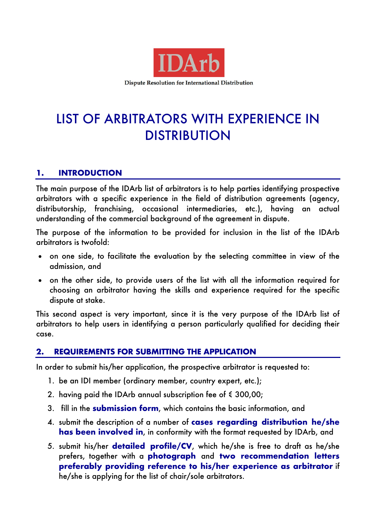

**Dispute Resolution for International Distribution** 

# LIST OF ARBITRATORS WITH EXPERIENCE IN DISTRIBUTION

## **1. INTRODUCTION**

The main purpose of the IDArb list of arbitrators is to help parties identifying prospective arbitrators with a specific experience in the field of distribution agreements (agency, distributorship, franchising, occasional intermediaries, etc.), having an actual understanding of the commercial background of the agreement in dispute.

The purpose of the information to be provided for inclusion in the list of the IDArb arbitrators is twofold:

- on one side, to facilitate the evaluation by the selecting committee in view of the admission, and
- on the other side, to provide users of the list with all the information required for choosing an arbitrator having the skills and experience required for the specific dispute at stake.

This second aspect is very important, since it is the very purpose of the IDArb list of arbitrators to help users in identifying a person particularly qualified for deciding their case.

## **2. REQUIREMENTS FOR SUBMITTING THE APPLICATION**

In order to submit his/her application, the prospective arbitrator is requested to:

- 1. be an IDI member (ordinary member, country expert, etc.);
- 2. having paid the IDArb annual subscription fee of  $\epsilon$  300,00;
- 3. fill in the **submission form**, which contains the basic information, and
- 4. submit the description of a number of **cases regarding distribution he/she has been involved in**, in conformity with the format requested by IDArb, and
- 5. submit his/her **detailed profile/CV**, which he/she is free to draft as he/she prefers, together with a **photograph** and **two recommendation letters preferably providing reference to his/her experience as arbitrator** if he/she is applying for the list of chair/sole arbitrators.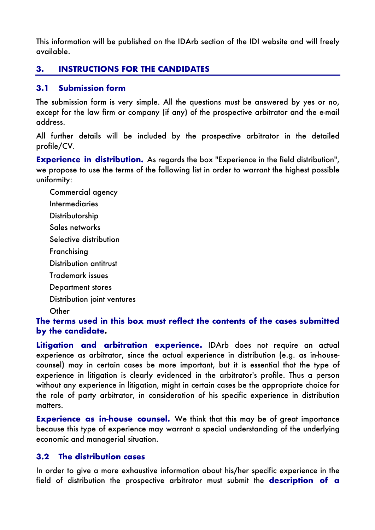This information will be published on the IDArb section of the IDI website and will freely available.

# **3. INSTRUCTIONS FOR THE CANDIDATES**

## **3.1 Submission form**

The submission form is very simple. All the questions must be answered by yes or no, except for the law firm or company (if any) of the prospective arbitrator and the e-mail address.

All further details will be included by the prospective arbitrator in the detailed profile/CV.

**Experience in distribution.** As regards the box "Experience in the field distribution", we propose to use the terms of the following list in order to warrant the highest possible uniformity:

Commercial agency **Intermediaries** Distributorship Sales networks Selective distribution Franchising Distribution antitrust Trademark issues Department stores Distribution joint ventures **Other** 

**The terms used in this box must reflect the contents of the cases submitted by the candidate.**

**Litigation and arbitration experience.** IDArb does not require an actual experience as arbitrator, since the actual experience in distribution (e.g. as in-housecounsel) may in certain cases be more important, but it is essential that the type of experience in litigation is clearly evidenced in the arbitrator's profile. Thus a person without any experience in litigation, might in certain cases be the appropriate choice for the role of party arbitrator, in consideration of his specific experience in distribution matters.

**Experience as in-house counsel.** We think that this may be of great importance because this type of experience may warrant a special understanding of the underlying economic and managerial situation.

## **3.2 The distribution cases**

In order to give a more exhaustive information about his/her specific experience in the field of distribution the prospective arbitrator must submit the **description of a**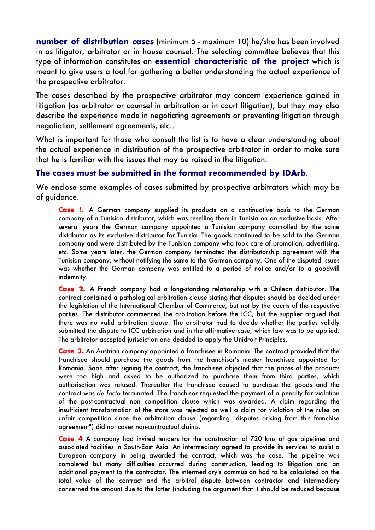**number of distribution cases** (minimum 5 - maximum 10) he/she has been involved in as litigator, arbitrator or in house counsel. The selecting committee believes that this type of information constitutes an **essential characteristic of the project** which is meant to give users a tool for gathering a better understanding the actual experience of the prospective arbitrator.

The cases described by the prospective arbitrator may concern experience gained in litigation (as arbitrator or counsel in arbitration or in court litigation), but they may also describe the experience made in negotiating agreements or preventing litigation through negotiation, settlement agreements, etc..

What is important for those who consult the list is to have a clear understanding about the actual experience in distribution of the prospective arbitrator in order to make sure that he is familiar with the issues that may be raised in the litigation.

#### **The cases must be submitted in the format recommended by IDArb**.

We enclose some examples of cases submitted by prospective arbitrators which may be of guidance.

**Case !.** A German company supplied its products on a continuative basis to the German company of a Tunisian distributor, which was reselling them in Tunisia on an exclusive basis. After several years the German company appointed a Tunisian company controlled by the same distributor as its exclusive distributor for Tunisia. The goods continued to be sold to the German company and were distributed by the Tunisian company who took care of promotion, advertising, etc. Some years later, the German company terminated the distributorship agreement with the Tunisian company, without notifying the same to the German company. One of the disputed issues was whether the German company was entitled to a period of notice and/or to a goodwill indemnity.

**Case 2.** A French company had a long-standing relationship with a Chilean distributor. The contract contained a pathological arbitration clause stating that disputes should be decided under the legislation of the International Chamber of Commerce, but not by the courts of the respective parties. The distributor commenced the arbitration before the ICC, but the supplier argued that there was no valid arbitration clause. The arbitrator had to decide whether the parties validly submitted the dispute to ICC arbitration and in the affirmative case, which law was to be applied. The arbitrator accepted jurisdiction and decided to apply the Unidroit Principles.

**Case 3.** An Austrian company appointed a franchisee in Romania. The contract provided that the franchisee should purchase the goods from the franchisor's master franchisee appointed for Romania. Soon after signing the contract, the franchisee objected that the prices of the products were too high and asked to be authorized to purchase them from third parties, which authorisation was refused. Thereafter the franchisee ceased to purchase the goods and the contract was *de facto* terminated. The franchisor requested the payment of a penalty for violation of the post-contractual non competition clause which was awarded. A claim regarding the insufficient transformation of the store was rejected as well a claim for violation of the rules on unfair competition since the arbitration clause (regarding "disputes arising from this franchise agreement") did not cover non-contractual claims.

**Case 4** A company had invited tenders for the construction of 720 kms of gas pipelines and associated facilities in South-East Asia. An intermediary agreed to provide its services to assist a European company in being awarded the contract, which was the case. The pipeline was completed but many difficulties occurred during construction, leading to litigation and an additional payment to the contractor. The intermediary's commission had to be calculated on the total value of the contract and the arbitral dispute between contractor and intermediary concerned the amount due to the latter (including the argument that it should be reduced because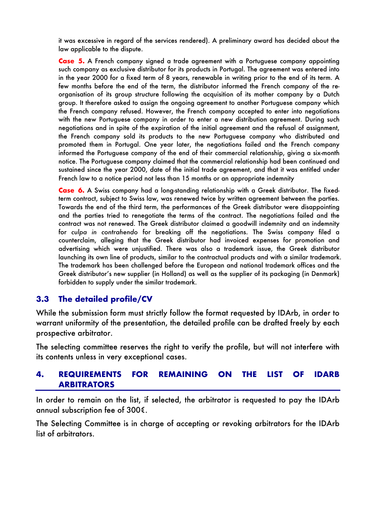it was excessive in regard of the services rendered). A preliminary award has decided about the law applicable to the dispute.

**Case 5.** A French company signed a trade agreement with a Portuguese company appointing such company as exclusive distributor for its products in Portugal. The agreement was entered into in the year 2000 for a fixed term of 8 years, renewable in writing prior to the end of its term. A few months before the end of the term, the distributor informed the French company of the reorganisation of its group structure following the acquisition of its mother company by a Dutch group. It therefore asked to assign the ongoing agreement to another Portuguese company which the French company refused. However, the French company accepted to enter into negotiations with the new Portuguese company in order to enter a new distribution agreement. During such negotiations and in spite of the expiration of the initial agreement and the refusal of assignment, the French company sold its products to the new Portuguese company who distributed and promoted them in Portugal. One year later, the negotiations failed and the French company informed the Portuguese company of the end of their commercial relationship, giving a six-month notice. The Portuguese company claimed that the commercial relationship had been continued and sustained since the year 2000, date of the initial trade agreement, and that it was entitled under French law to a notice period not less than 15 months or an appropriate indemnity

**Case 6.** A Swiss company had a long-standing relationship with a Greek distributor. The fixedterm contract, subject to Swiss law, was renewed twice by written agreement between the parties. Towards the end of the third term, the performances of the Greek distributor were disappointing and the parties tried to renegotiate the terms of the contract. The negotiations failed and the contract was not renewed. The Greek distributor claimed a goodwill indemnity and an indemnity for *culpa in contrahendo* for breaking off the negotiations. The Swiss company filed a counterclaim, alleging that the Greek distributor had invoiced expenses for promotion and advertising which were unjustified. There was also a trademark issue, the Greek distributor launching its own line of products, similar to the contractual products and with a similar trademark. The trademark has been challenged before the European and national trademark offices and the Greek distributor's new supplier (in Holland) as well as the supplier of its packaging (in Denmark) forbidden to supply under the similar trademark.

#### **3.3 The detailed profile/CV**

While the submission form must strictly follow the format requested by IDArb, in order to warrant uniformity of the presentation, the detailed profile can be drafted freely by each prospective arbitrator.

The selecting committee reserves the right to verify the profile, but will not interfere with its contents unless in very exceptional cases.

#### **4. REQUIREMENTS FOR REMAINING ON THE LIST OF IDARB ARBITRATORS**

In order to remain on the list, if selected, the arbitrator is requested to pay the IDArb annual subscription fee of 300€.

The Selecting Committee is in charge of accepting or revoking arbitrators for the IDArb list of arbitrators.